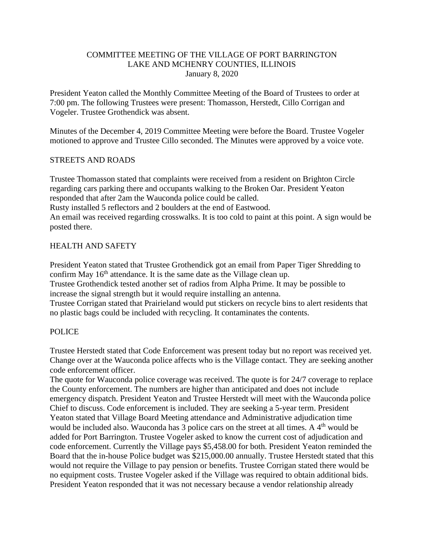## COMMITTEE MEETING OF THE VILLAGE OF PORT BARRINGTON LAKE AND MCHENRY COUNTIES, ILLINOIS January 8, 2020

President Yeaton called the Monthly Committee Meeting of the Board of Trustees to order at 7:00 pm. The following Trustees were present: Thomasson, Herstedt, Cillo Corrigan and Vogeler. Trustee Grothendick was absent.

Minutes of the December 4, 2019 Committee Meeting were before the Board. Trustee Vogeler motioned to approve and Trustee Cillo seconded. The Minutes were approved by a voice vote.

# STREETS AND ROADS

Trustee Thomasson stated that complaints were received from a resident on Brighton Circle regarding cars parking there and occupants walking to the Broken Oar. President Yeaton responded that after 2am the Wauconda police could be called. Rusty installed 5 reflectors and 2 boulders at the end of Eastwood. An email was received regarding crosswalks. It is too cold to paint at this point. A sign would be posted there.

# HEALTH AND SAFETY

President Yeaton stated that Trustee Grothendick got an email from Paper Tiger Shredding to confirm May  $16<sup>th</sup>$  attendance. It is the same date as the Village clean up. Trustee Grothendick tested another set of radios from Alpha Prime. It may be possible to increase the signal strength but it would require installing an antenna. Trustee Corrigan stated that Prairieland would put stickers on recycle bins to alert residents that no plastic bags could be included with recycling. It contaminates the contents.

## POLICE

Trustee Herstedt stated that Code Enforcement was present today but no report was received yet. Change over at the Wauconda police affects who is the Village contact. They are seeking another code enforcement officer.

The quote for Wauconda police coverage was received. The quote is for 24/7 coverage to replace the County enforcement. The numbers are higher than anticipated and does not include emergency dispatch. President Yeaton and Trustee Herstedt will meet with the Wauconda police Chief to discuss. Code enforcement is included. They are seeking a 5-year term. President Yeaton stated that Village Board Meeting attendance and Administrative adjudication time would be included also. Wauconda has 3 police cars on the street at all times. A 4<sup>th</sup> would be added for Port Barrington. Trustee Vogeler asked to know the current cost of adjudication and code enforcement. Currently the Village pays \$5,458.00 for both. President Yeaton reminded the Board that the in-house Police budget was \$215,000.00 annually. Trustee Herstedt stated that this would not require the Village to pay pension or benefits. Trustee Corrigan stated there would be no equipment costs. Trustee Vogeler asked if the Village was required to obtain additional bids. President Yeaton responded that it was not necessary because a vendor relationship already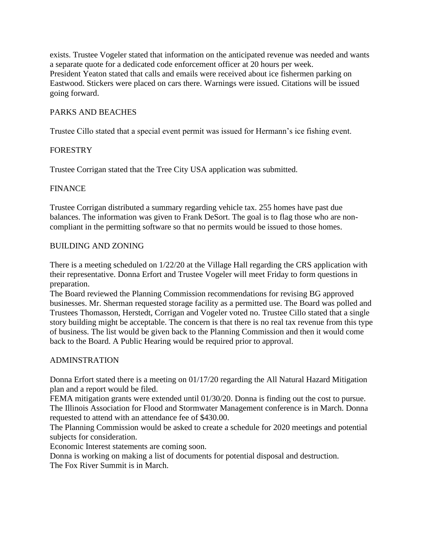exists. Trustee Vogeler stated that information on the anticipated revenue was needed and wants a separate quote for a dedicated code enforcement officer at 20 hours per week. President Yeaton stated that calls and emails were received about ice fishermen parking on Eastwood. Stickers were placed on cars there. Warnings were issued. Citations will be issued going forward.

# PARKS AND BEACHES

Trustee Cillo stated that a special event permit was issued for Hermann's ice fishing event.

# **FORESTRY**

Trustee Corrigan stated that the Tree City USA application was submitted.

## FINANCE

Trustee Corrigan distributed a summary regarding vehicle tax. 255 homes have past due balances. The information was given to Frank DeSort. The goal is to flag those who are noncompliant in the permitting software so that no permits would be issued to those homes.

# BUILDING AND ZONING

There is a meeting scheduled on 1/22/20 at the Village Hall regarding the CRS application with their representative. Donna Erfort and Trustee Vogeler will meet Friday to form questions in preparation.

The Board reviewed the Planning Commission recommendations for revising BG approved businesses. Mr. Sherman requested storage facility as a permitted use. The Board was polled and Trustees Thomasson, Herstedt, Corrigan and Vogeler voted no. Trustee Cillo stated that a single story building might be acceptable. The concern is that there is no real tax revenue from this type of business. The list would be given back to the Planning Commission and then it would come back to the Board. A Public Hearing would be required prior to approval.

## ADMINSTRATION

Donna Erfort stated there is a meeting on 01/17/20 regarding the All Natural Hazard Mitigation plan and a report would be filed.

FEMA mitigation grants were extended until 01/30/20. Donna is finding out the cost to pursue. The Illinois Association for Flood and Stormwater Management conference is in March. Donna requested to attend with an attendance fee of \$430.00.

The Planning Commission would be asked to create a schedule for 2020 meetings and potential subjects for consideration.

Economic Interest statements are coming soon.

Donna is working on making a list of documents for potential disposal and destruction. The Fox River Summit is in March.